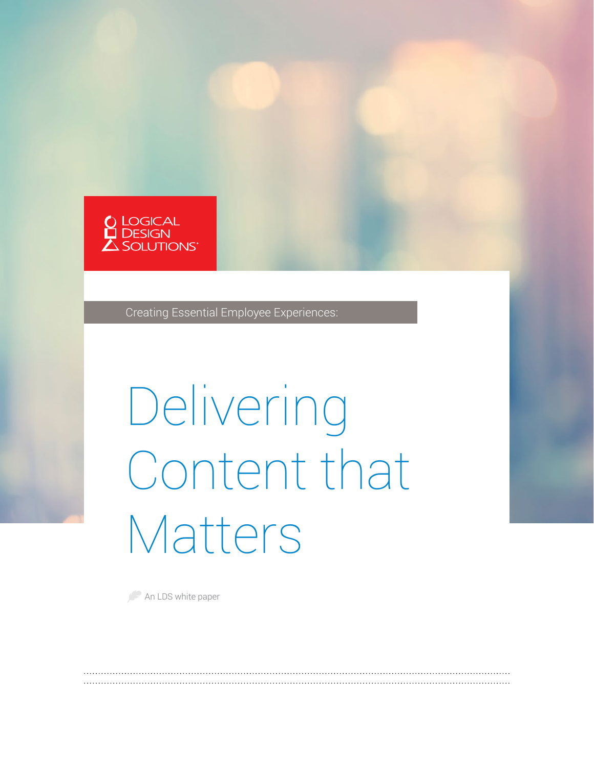

Creating Essential Employee Experiences:

# Delivering Content that Matters

An LDS white paper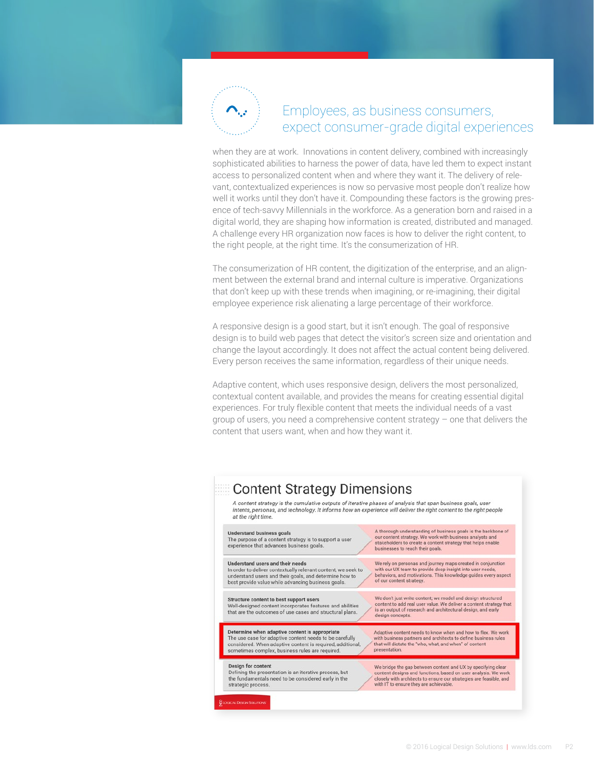

### Employees, as business consumers, expect consumer-grade digital experiences

when they are at work. Innovations in content delivery, combined with increasingly sophisticated abilities to harness the power of data, have led them to expect instant access to personalized content when and where they want it. The delivery of relevant, contextualized experiences is now so pervasive most people don't realize how well it works until they don't have it. Compounding these factors is the growing presence of tech-savvy Millennials in the workforce. As a generation born and raised in a digital world, they are shaping how information is created, distributed and managed. A challenge every HR organization now faces is how to deliver the right content, to the right people, at the right time. It's the consumerization of HR.

The consumerization of HR content, the digitization of the enterprise, and an alignment between the external brand and internal culture is imperative. Organizations that don't keep up with these trends when imagining, or re-imagining, their digital employee experience risk alienating a large percentage of their workforce.

A responsive design is a good start, but it isn't enough. The goal of responsive design is to build web pages that detect the visitor's screen size and orientation and change the layout accordingly. It does not affect the actual content being delivered. Every person receives the same information, regardless of their unique needs.

Adaptive content, which uses responsive design, delivers the most personalized, contextual content available, and provides the means for creating essential digital experiences. For truly flexible content that meets the individual needs of a vast group of users, you need a comprehensive content strategy – one that delivers the content that users want, when and how they want it.

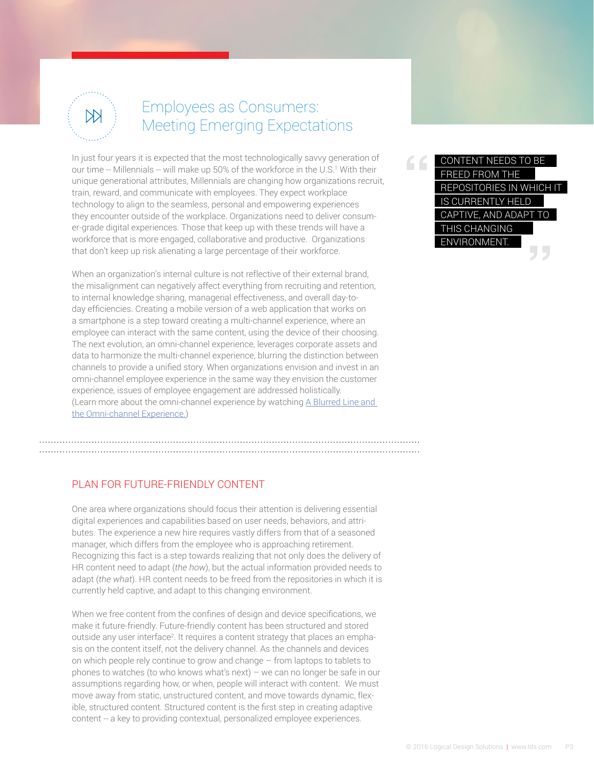

## Employees as Consumers: Meeting Emerging Expectations

In just four years it is expected that the most technologically savvy generation of our time -- Millennials -- will make up 50% of the workforce in the U.S.<sup>1</sup> With their unique generational attributes, Millennials are changing how organizations recruit, train, reward, and communicate with employees. They expect workplace technology to align to the seamless, personal and empowering experiences they encounter outside of the workplace. Organizations need to deliver consumer-grade digital experiences. Those that keep up with these trends will have a workforce that is more engaged, collaborative and productive. Organizations that don't keep up risk alienating a large percentage of their workforce.

When an organization's internal culture is not reflective of their external brand, the misalignment can negatively affect everything from recruiting and retention, to internal knowledge sharing, managerial effectiveness, and overall day-today efficiencies. Creating a mobile version of a web application that works on a smartphone is a step toward creating a multi-channel experience, where an employee can interact with the same content, using the device of their choosing. The next evolution, an omni-channel experience, leverages corporate assets and data to harmonize the multi-channel experience, blurring the distinction between channels to provide a unified story. When organizations envision and invest in an omni-channel employee experience in the same way they envision the customer experience, issues of employee engagement are addressed holistically. (Learn more about the omni-channel experience by watching [A Blurred Line and](http://www.lds.com/pov/omni-channel-enterprise/)  [the Omni-channel Experience.](http://www.lds.com/pov/omni-channel-enterprise/))

#### PLAN FOR FUTURE-FRIENDLY CONTENT

One area where organizations should focus their attention is delivering essential digital experiences and capabilities based on user needs, behaviors, and attributes. The experience a new hire requires vastly differs from that of a seasoned manager, which differs from the employee who is approaching retirement. Recognizing this fact is a step towards realizing that not only does the delivery of HR content need to adapt (*the how*), but the actual information provided needs to adapt (*the what*). HR content needs to be freed from the repositories in which it is currently held captive, and adapt to this changing environment.

When we free content from the confines of design and device specifications, we make it future-friendly. Future-friendly content has been structured and stored outside any user interface<sup>2</sup>. It requires a content strategy that places an emphasis on the content itself, not the delivery channel. As the channels and devices on which people rely continue to grow and change – from laptops to tablets to phones to watches (to who knows what's next) – we can no longer be safe in our assumptions regarding how, or when, people will interact with content. We must move away from static, unstructured content, and move towards dynamic, flexible, structured content. Structured content is the first step in creating adaptive content -- a key to providing contextual, personalized employee experiences.

CONTENT NEEDS TO BE FREED FROM THE REPOSITORIES IN WHICH IT IS CURRENTLY HELD CAPTIVE, AND ADAPT TO THIS CHANGING ENVIRONMENT. **" "**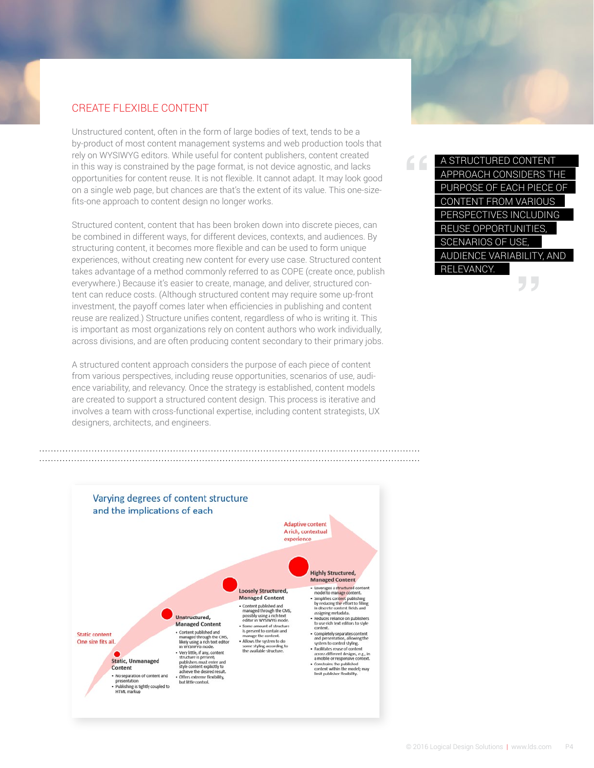#### CREATE FLEXIBLE CONTENT

Unstructured content, often in the form of large bodies of text, tends to be a by-product of most content management systems and web production tools that rely on WYSIWYG editors. While useful for content publishers, content created in this way is constrained by the page format, is not device agnostic, and lacks opportunities for content reuse. It is not flexible. It cannot adapt. It may look good on a single web page, but chances are that's the extent of its value. This one-sizefits-one approach to content design no longer works.

Structured content, content that has been broken down into discrete pieces, can be combined in different ways, for different devices, contexts, and audiences. By structuring content, it becomes more flexible and can be used to form unique experiences, without creating new content for every use case. Structured content takes advantage of a method commonly referred to as COPE (create once, publish everywhere.) Because it's easier to create, manage, and deliver, structured content can reduce costs. (Although structured content may require some up-front investment, the payoff comes later when efficiencies in publishing and content reuse are realized.) Structure unifies content, regardless of who is writing it. This is important as most organizations rely on content authors who work individually, across divisions, and are often producing content secondary to their primary jobs.

A structured content approach considers the purpose of each piece of content from various perspectives, including reuse opportunities, scenarios of use, audience variability, and relevancy. Once the strategy is established, content models are created to support a structured content design. This process is iterative and involves a team with cross-functional expertise, including content strategists, UX designers, architects, and engineers.



A STRUCTURED CONTENT APPROACH CONSIDERS THE PURPOSE OF EACH PIECE OF CONTENT FROM VARIOUS PERSPECTIVES INCLUDING REUSE OPPORTUNITIES, SCENARIOS OF USE, AUDIENCE VARIABILITY, AND RELEVANCY. **"**

**"**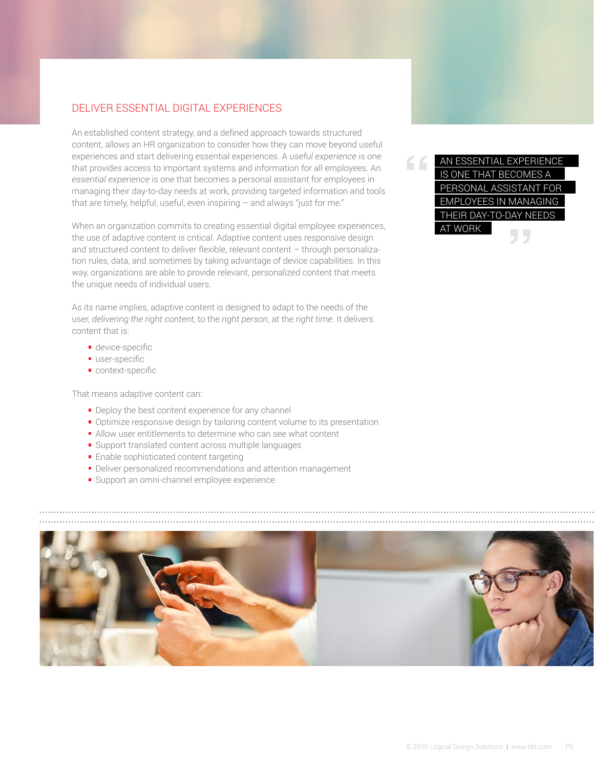#### DELIVER ESSENTIAL DIGITAL EXPERIENCES

An established content strategy, and a defined approach towards structured content, allows an HR organization to consider how they can move beyond useful experiences and start delivering essential experiences. A *useful experience* is one that provides access to important systems and information for all employees. An *essential experience* is one that becomes a personal assistant for employees in managing their day-to-day needs at work, providing targeted information and tools that are timely, helpful, useful, even inspiring  $-$  and always "just for me."

When an organization commits to creating essential digital employee experiences, the use of adaptive content is critical. Adaptive content uses responsive design and structured content to deliver flexible, relevant content – through personalization rules, data, and sometimes by taking advantage of device capabilities. In this way, organizations are able to provide relevant, personalized content that meets the unique needs of individual users.

As its name implies, adaptive content is designed to adapt to the needs of the user, *delivering the right content*, to the *right person*, at the *right time*. It delivers content that is:

- **device-specific**
- user-specific
- context-specific

That means adaptive content can:

- **Deploy the best content experience for any channel**
- **•** Optimize responsive design by tailoring content volume to its presentation
- Allow user entitlements to determine who can see what content
- Support translated content across multiple languages
- **Enable sophisticated content targeting**
- Deliver personalized recommendations and attention management
- Support an omni-channel employee experience

**" "** AN ESSENTIAL EXPERIENCE IS ONE THAT BECOMES A PERSONAL ASSISTANT FOR EMPLOYEES IN MANAGING THEIR DAY-TO-DAY NEEDS AT WORK

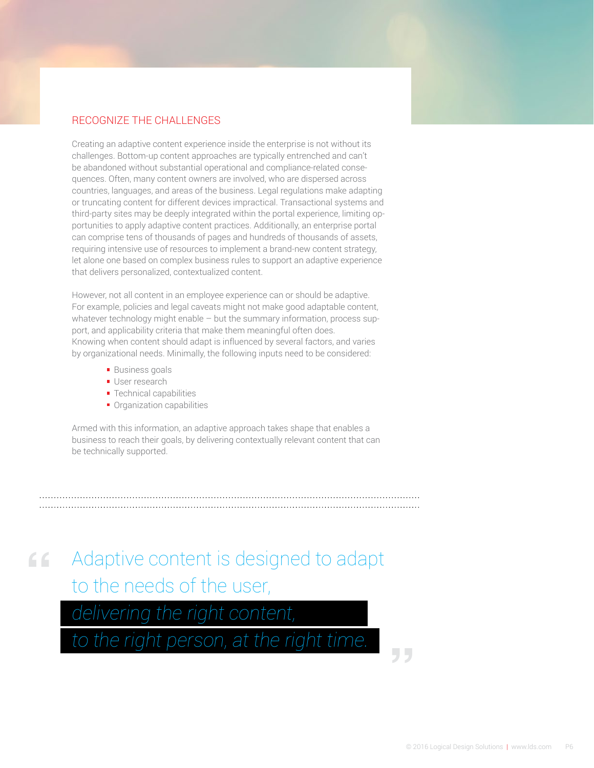#### RECOGNIZE THE CHALLENGES

Creating an adaptive content experience inside the enterprise is not without its challenges. Bottom-up content approaches are typically entrenched and can't be abandoned without substantial operational and compliance-related consequences. Often, many content owners are involved, who are dispersed across countries, languages, and areas of the business. Legal regulations make adapting or truncating content for different devices impractical. Transactional systems and third-party sites may be deeply integrated within the portal experience, limiting opportunities to apply adaptive content practices. Additionally, an enterprise portal can comprise tens of thousands of pages and hundreds of thousands of assets, requiring intensive use of resources to implement a brand-new content strategy, let alone one based on complex business rules to support an adaptive experience that delivers personalized, contextualized content.

However, not all content in an employee experience can or should be adaptive. For example, policies and legal caveats might not make good adaptable content, whatever technology might enable – but the summary information, process support, and applicability criteria that make them meaningful often does. Knowing when content should adapt is influenced by several factors, and varies by organizational needs. Minimally, the following inputs need to be considered:

- **Business goals**
- **User research**
- **Technical capabilities**
- **Organization capabilities**

Armed with this information, an adaptive approach takes shape that enables a business to reach their goals, by delivering contextually relevant content that can be technically supported.

Adaptive content is designed to adapt to the needs of the user, **"**

*delivering the right content,* 

*to the right person, at the right time.*

**"**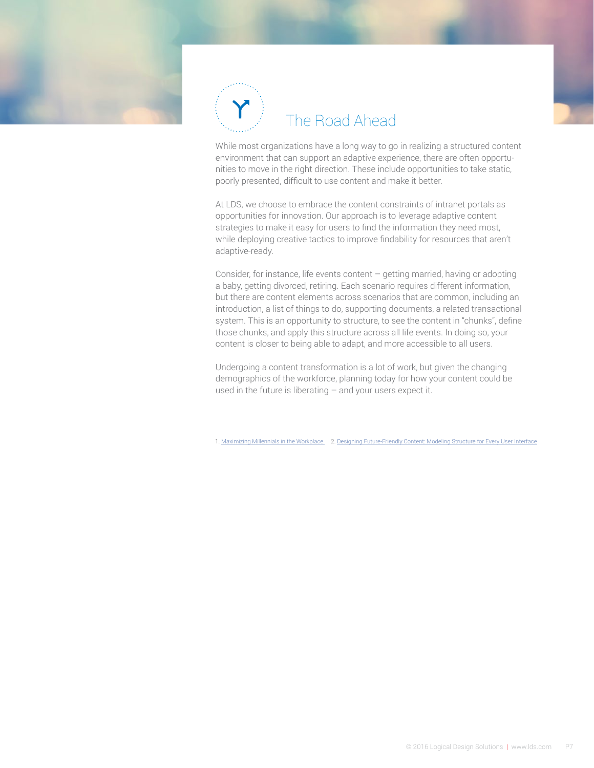

## The Road Ahead

While most organizations have a long way to go in realizing a structured content environment that can support an adaptive experience, there are often opportunities to move in the right direction. These include opportunities to take static, poorly presented, difficult to use content and make it better.

At LDS, we choose to embrace the content constraints of intranet portals as opportunities for innovation. Our approach is to leverage adaptive content strategies to make it easy for users to find the information they need most, while deploying creative tactics to improve findability for resources that aren't adaptive-ready.

Consider, for instance, life events content – getting married, having or adopting a baby, getting divorced, retiring. Each scenario requires different information, but there are content elements across scenarios that are common, including an introduction, a list of things to do, supporting documents, a related transactional system. This is an opportunity to structure, to see the content in "chunks", define those chunks, and apply this structure across all life events. In doing so, your content is closer to being able to adapt, and more accessible to all users.

Undergoing a content transformation is a lot of work, but given the changing demographics of the workforce, planning today for how your content could be used in the future is liberating – and your users expect it.

1. [Maximizing Millennials in the Workplace](http://www.kenan-flagler.unc.edu/executive-development/custom-programs/~/media/DF1C11C056874DDA8097271A1ED48662.ashx) 2. [Designing Future-Friendly Content: Modeling Structure for Every User Interface](http://uxpamagazine.org/designing-future-friendly-content/)